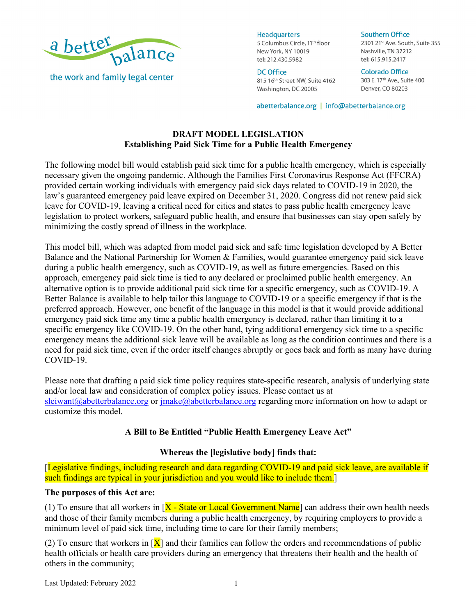

**Headquarters** 5 Columbus Circle, 11<sup>th</sup> floor New York, NY 10019 tel: 212.430.5982

**DC Office** 815 16th Street NW, Suite 4162 Washington, DC 20005

2301 21st Ave. South, Suite 355 Nashville, TN 37212 tel: 615.915.2417

**Colorado Office** 303 E. 17th Ave., Suite 400 Denver, CO 80203

**Southern Office** 

abetterbalance.org | info@abetterbalance.org

# **DRAFT MODEL LEGISLATION Establishing Paid Sick Time for a Public Health Emergency**

The following model bill would establish paid sick time for a public health emergency, which is especially necessary given the ongoing pandemic. Although the Families First Coronavirus Response Act (FFCRA) provided certain working individuals with emergency paid sick days related to COVID-19 in 2020, the law's guaranteed emergency paid leave expired on December 31, 2020. Congress did not renew paid sick leave for COVID-19, leaving a critical need for cities and states to pass public health emergency leave legislation to protect workers, safeguard public health, and ensure that businesses can stay open safely by minimizing the costly spread of illness in the workplace.

This model bill, which was adapted from model paid sick and safe time legislation developed by A Better Balance and the National Partnership for Women & Families, would guarantee emergency paid sick leave during a public health emergency, such as COVID-19, as well as future emergencies. Based on this approach, emergency paid sick time is tied to any declared or proclaimed public health emergency. An alternative option is to provide additional paid sick time for a specific emergency, such as COVID-19. A Better Balance is available to help tailor this language to COVID-19 or a specific emergency if that is the preferred approach. However, one benefit of the language in this model is that it would provide additional emergency paid sick time any time a public health emergency is declared, rather than limiting it to a specific emergency like COVID-19. On the other hand, tying additional emergency sick time to a specific emergency means the additional sick leave will be available as long as the condition continues and there is a need for paid sick time, even if the order itself changes abruptly or goes back and forth as many have during COVID-19.

Please note that drafting a paid sick time policy requires state-specific research, analysis of underlying state and/or local law and consideration of complex policy issues. Please contact us at sleiwant@abetterbalance.org or jmake@abetterbalance.org regarding more information on how to adapt or customize this model.

# **A Bill to Be Entitled "Public Health Emergency Leave Act"**

# **Whereas the [legislative body] finds that:**

[Legislative findings, including research and data regarding COVID-19 and paid sick leave, are available if such findings are typical in your jurisdiction and you would like to include them.

### **The purposes of this Act are:**

(1) To ensure that all workers in  $X - State$  or Local Government Name can address their own health needs and those of their family members during a public health emergency, by requiring employers to provide a minimum level of paid sick time, including time to care for their family members;

(2) To ensure that workers in  $[X]$  and their families can follow the orders and recommendations of public health officials or health care providers during an emergency that threatens their health and the health of others in the community;

Last Updated: February 2022 1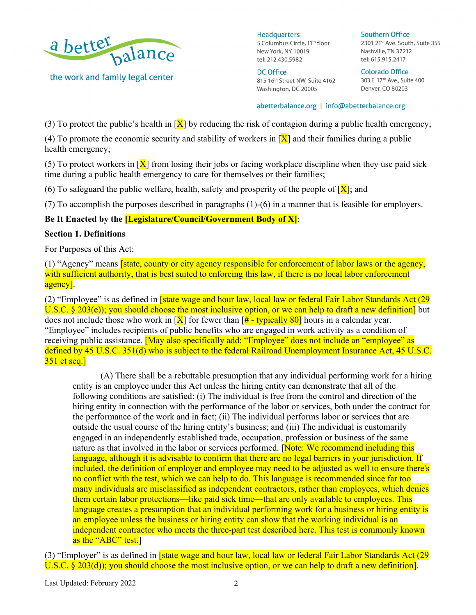

**Headquarters** 5 Columbus Circle, 11<sup>th</sup> floor New York, NY 10019 tel: 212.430.5982

**DC Office** 815 16th Street NW, Suite 4162 Washington, DC 20005

**Southern Office** 2301 21st Ave. South, Suite 355 Nashville, TN 37212 tel: 615.915.2417

**Colorado Office** 303 E. 17<sup>th</sup> Ave., Suite 400 Denver, CO 80203

#### abetterbalance.org | info@abetterbalance.org

(3) To protect the public's health in  $[X]$  by reducing the risk of contagion during a public health emergency;

(4) To promote the economic security and stability of workers in  $[X]$  and their families during a public health emergency;

(5) To protect workers in  $[X]$  from losing their jobs or facing workplace discipline when they use paid sick time during a public health emergency to care for themselves or their families;

(6) To safeguard the public welfare, health, safety and prosperity of the people of  $[X]$ ; and

(7) To accomplish the purposes described in paragraphs (1)-(6) in a manner that is feasible for employers.

### **Be It Enacted by the [Legislature/Council/Government Body of X]**:

#### **Section 1. Definitions**

For Purposes of this Act:

(1) "Agency" means [state, county or city agency responsible for enforcement of labor laws or the agency, with sufficient authority, that is best suited to enforcing this law, if there is no local labor enforcement agency].

(2) "Employee" is as defined in **[state wage and hour law, local law or federal Fair Labor Standards Act (29**) U.S.C. § 203(e)); you should choose the most inclusive option, or we can help to draft a new definition] but does not include those who work in  $[X]$  for fewer than  $[\frac{\text{#}}{4}$  - typically 80] hours in a calendar year. "Employee" includes recipients of public benefits who are engaged in work activity as a condition of receiving public assistance. [May also specifically add: "Employee" does not include an "employee" as defined by 45 U.S.C. 351(d) who is subject to the federal Railroad Unemployment Insurance Act, 45 U.S.C. 351 et seq.]

(A) There shall be a rebuttable presumption that any individual performing work for a hiring entity is an employee under this Act unless the hiring entity can demonstrate that all of the following conditions are satisfied: (i) The individual is free from the control and direction of the hiring entity in connection with the performance of the labor or services, both under the contract for the performance of the work and in fact; (ii) The individual performs labor or services that are outside the usual course of the hiring entity's business; and (iii) The individual is customarily engaged in an independently established trade, occupation, profession or business of the same nature as that involved in the labor or services performed. [Note: We recommend including this language, although it is advisable to confirm that there are no legal barriers in your jurisdiction. If included, the definition of employer and employee may need to be adjusted as well to ensure there's no conflict with the test, which we can help to do. This language is recommended since far too many individuals are misclassified as independent contractors, rather than employees, which denies them certain labor protections—like paid sick time—that are only available to employees. This language creates a presumption that an individual performing work for a business or hiring entity is an employee unless the business or hiring entity can show that the working individual is an independent contractor who meets the three-part test described here. This test is commonly known as the "ABC" test.

(3) "Employer" is as defined in [state wage and hour law, local law or federal Fair Labor Standards Act (29 U.S.C. § 203(d)); you should choose the most inclusive option, or we can help to draft a new definition.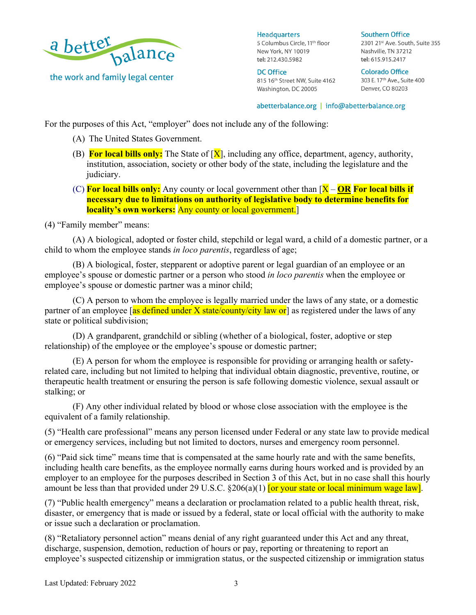

**Headquarters** 5 Columbus Circle, 11<sup>th</sup> floor New York, NY 10019 tel: 212.430.5982

**DC Office** 815 16th Street NW, Suite 4162 Washington, DC 20005

**Southern Office** 2301 21st Ave. South, Suite 355 Nashville, TN 37212 tel: 615.915.2417

**Colorado Office** 303 E. 17th Ave., Suite 400 Denver, CO 80203

abetterbalance.org | info@abetterbalance.org

For the purposes of this Act, "employer" does not include any of the following:

- (A) The United States Government.
- (B) **For local bills only:** The State of [X], including any office, department, agency, authority, institution, association, society or other body of the state, including the legislature and the judiciary.
- (C) **For local bills only:** Any county or local government other than [X **OR For local bills if necessary due to limitations on authority of legislative body to determine benefits for locality's own workers:** Any county or local government.

(4) "Family member" means:

(A) A biological, adopted or foster child, stepchild or legal ward, a child of a domestic partner, or a child to whom the employee stands *in loco parentis*, regardless of age;

(B) A biological, foster, stepparent or adoptive parent or legal guardian of an employee or an employee's spouse or domestic partner or a person who stood *in loco parentis* when the employee or employee's spouse or domestic partner was a minor child;

(C) A person to whom the employee is legally married under the laws of any state, or a domestic partner of an employee [as defined under X state/county/city law or] as registered under the laws of any state or political subdivision;

(D) A grandparent, grandchild or sibling (whether of a biological, foster, adoptive or step relationship) of the employee or the employee's spouse or domestic partner;

(E) A person for whom the employee is responsible for providing or arranging health or safetyrelated care, including but not limited to helping that individual obtain diagnostic, preventive, routine, or therapeutic health treatment or ensuring the person is safe following domestic violence, sexual assault or stalking; or

(F) Any other individual related by blood or whose close association with the employee is the equivalent of a family relationship.

(5) "Health care professional" means any person licensed under Federal or any state law to provide medical or emergency services, including but not limited to doctors, nurses and emergency room personnel.

(6) "Paid sick time" means time that is compensated at the same hourly rate and with the same benefits, including health care benefits, as the employee normally earns during hours worked and is provided by an employer to an employee for the purposes described in Section 3 of this Act, but in no case shall this hourly amount be less than that provided under 29 U.S.C.  $\S206(a)(1)$  for your state or local minimum wage law].

(7) "Public health emergency" means a declaration or proclamation related to a public health threat, risk, disaster, or emergency that is made or issued by a federal, state or local official with the authority to make or issue such a declaration or proclamation.

(8) "Retaliatory personnel action" means denial of any right guaranteed under this Act and any threat, discharge, suspension, demotion, reduction of hours or pay, reporting or threatening to report an employee's suspected citizenship or immigration status, or the suspected citizenship or immigration status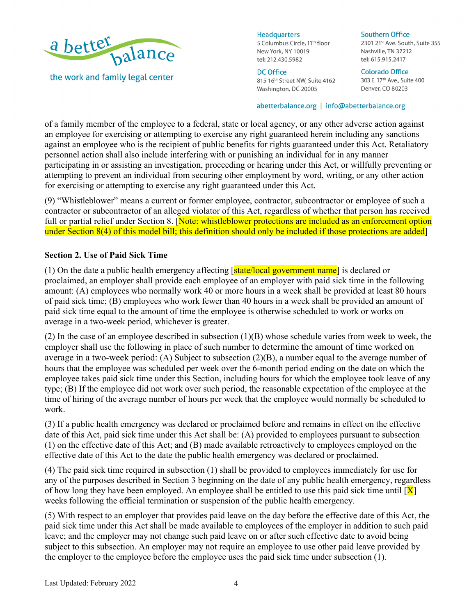

**Headquarters** 

5 Columbus Circle, 11<sup>th</sup> floor New York, NY 10019 tel: 212.430.5982

# **DC Office**

815 16th Street NW, Suite 4162 Washington, DC 20005

#### **Southern Office**

2301 21st Ave. South, Suite 355 Nashville, TN 37212 tel: 615.915.2417

**Colorado Office** 303 E. 17<sup>th</sup> Ave., Suite 400 Denver, CO 80203

#### abetterbalance.org | info@abetterbalance.org

of a family member of the employee to a federal, state or local agency, or any other adverse action against an employee for exercising or attempting to exercise any right guaranteed herein including any sanctions against an employee who is the recipient of public benefits for rights guaranteed under this Act. Retaliatory personnel action shall also include interfering with or punishing an individual for in any manner participating in or assisting an investigation, proceeding or hearing under this Act, or willfully preventing or attempting to prevent an individual from securing other employment by word, writing, or any other action for exercising or attempting to exercise any right guaranteed under this Act.

(9) "Whistleblower" means a current or former employee, contractor, subcontractor or employee of such a contractor or subcontractor of an alleged violator of this Act, regardless of whether that person has received full or partial relief under Section 8. [Note: whistleblower protections are included as an enforcement option under Section 8(4) of this model bill; this definition should only be included if those protections are added

### **Section 2. Use of Paid Sick Time**

(1) On the date a public health emergency affecting  $\sqrt{\frac{\text{state}}{\text{load}}$  government name is declared or proclaimed, an employer shall provide each employee of an employer with paid sick time in the following amount: (A) employees who normally work 40 or more hours in a week shall be provided at least 80 hours of paid sick time; (B) employees who work fewer than 40 hours in a week shall be provided an amount of paid sick time equal to the amount of time the employee is otherwise scheduled to work or works on average in a two-week period, whichever is greater.

(2) In the case of an employee described in subsection (1)(B) whose schedule varies from week to week, the employer shall use the following in place of such number to determine the amount of time worked on average in a two-week period: (A) Subject to subsection (2)(B), a number equal to the average number of hours that the employee was scheduled per week over the 6-month period ending on the date on which the employee takes paid sick time under this Section, including hours for which the employee took leave of any type; (B) If the employee did not work over such period, the reasonable expectation of the employee at the time of hiring of the average number of hours per week that the employee would normally be scheduled to work.

(3) If a public health emergency was declared or proclaimed before and remains in effect on the effective date of this Act, paid sick time under this Act shall be: (A) provided to employees pursuant to subsection (1) on the effective date of this Act; and (B) made available retroactively to employees employed on the effective date of this Act to the date the public health emergency was declared or proclaimed.

(4) The paid sick time required in subsection (1) shall be provided to employees immediately for use for any of the purposes described in Section 3 beginning on the date of any public health emergency, regardless of how long they have been employed. An employee shall be entitled to use this paid sick time until  $[X]$ weeks following the official termination or suspension of the public health emergency.

(5) With respect to an employer that provides paid leave on the day before the effective date of this Act, the paid sick time under this Act shall be made available to employees of the employer in addition to such paid leave; and the employer may not change such paid leave on or after such effective date to avoid being subject to this subsection. An employer may not require an employee to use other paid leave provided by the employer to the employee before the employee uses the paid sick time under subsection (1).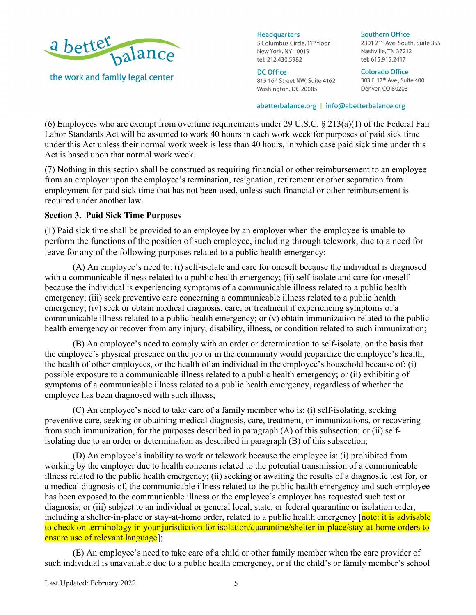

**Headquarters** 

5 Columbus Circle, 11<sup>th</sup> floor New York, NY 10019 tel: 212.430.5982

**DC Office** 815 16th Street NW, Suite 4162 Washington, DC 20005

**Southern Office** 2301 21st Ave. South, Suite 355 Nashville, TN 37212

**Colorado Office** 303 E. 17th Ave., Suite 400 Denver, CO 80203

tel: 615.915.2417

abetterbalance.org | info@abetterbalance.org

(6) Employees who are exempt from overtime requirements under 29 U.S.C. § 213(a)(1) of the Federal Fair Labor Standards Act will be assumed to work 40 hours in each work week for purposes of paid sick time under this Act unless their normal work week is less than 40 hours, in which case paid sick time under this Act is based upon that normal work week.

(7) Nothing in this section shall be construed as requiring financial or other reimbursement to an employee from an employer upon the employee's termination, resignation, retirement or other separation from employment for paid sick time that has not been used, unless such financial or other reimbursement is required under another law.

# **Section 3. Paid Sick Time Purposes**

(1) Paid sick time shall be provided to an employee by an employer when the employee is unable to perform the functions of the position of such employee, including through telework, due to a need for leave for any of the following purposes related to a public health emergency:

(A) An employee's need to: (i) self-isolate and care for oneself because the individual is diagnosed with a communicable illness related to a public health emergency; (ii) self-isolate and care for oneself because the individual is experiencing symptoms of a communicable illness related to a public health emergency; (iii) seek preventive care concerning a communicable illness related to a public health emergency; (iv) seek or obtain medical diagnosis, care, or treatment if experiencing symptoms of a communicable illness related to a public health emergency; or (v) obtain immunization related to the public health emergency or recover from any injury, disability, illness, or condition related to such immunization;

(B) An employee's need to comply with an order or determination to self-isolate, on the basis that the employee's physical presence on the job or in the community would jeopardize the employee's health, the health of other employees, or the health of an individual in the employee's household because of: (i) possible exposure to a communicable illness related to a public health emergency; or (ii) exhibiting of symptoms of a communicable illness related to a public health emergency, regardless of whether the employee has been diagnosed with such illness;

(C) An employee's need to take care of a family member who is: (i) self-isolating, seeking preventive care, seeking or obtaining medical diagnosis, care, treatment, or immunizations, or recovering from such immunization, for the purposes described in paragraph (A) of this subsection; or (ii) selfisolating due to an order or determination as described in paragraph (B) of this subsection;

(D) An employee's inability to work or telework because the employee is: (i) prohibited from working by the employer due to health concerns related to the potential transmission of a communicable illness related to the public health emergency; (ii) seeking or awaiting the results of a diagnostic test for, or a medical diagnosis of, the communicable illness related to the public health emergency and such employee has been exposed to the communicable illness or the employee's employer has requested such test or diagnosis; or (iii) subject to an individual or general local, state, or federal quarantine or isolation order, including a shelter-in-place or stay-at-home order, related to a public health emergency (note: it is advisable to check on terminology in your jurisdiction for isolation/quarantine/shelter-in-place/stay-at-home orders to ensure use of relevant language];

(E) An employee's need to take care of a child or other family member when the care provider of such individual is unavailable due to a public health emergency, or if the child's or family member's school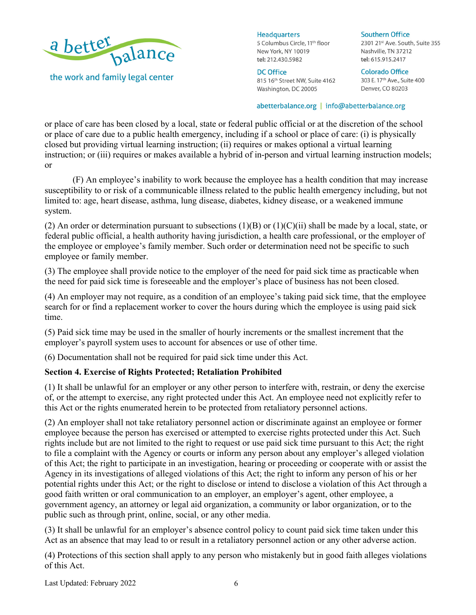

**Headquarters** 5 Columbus Circle, 11<sup>th</sup> floor New York, NY 10019 tel: 212.430.5982

**DC Office** 815 16th Street NW, Suite 4162 Washington, DC 20005

**Southern Office** 

2301 21st Ave. South, Suite 355 Nashville, TN 37212 tel: 615.915.2417

**Colorado Office** 303 E. 17th Ave., Suite 400 Denver, CO 80203

#### abetterbalance.org | info@abetterbalance.org

or place of care has been closed by a local, state or federal public official or at the discretion of the school or place of care due to a public health emergency, including if a school or place of care: (i) is physically closed but providing virtual learning instruction; (ii) requires or makes optional a virtual learning instruction; or (iii) requires or makes available a hybrid of in-person and virtual learning instruction models; or

(F) An employee's inability to work because the employee has a health condition that may increase susceptibility to or risk of a communicable illness related to the public health emergency including, but not limited to: age, heart disease, asthma, lung disease, diabetes, kidney disease, or a weakened immune system.

(2) An order or determination pursuant to subsections  $(1)(B)$  or  $(1)(C)(ii)$  shall be made by a local, state, or federal public official, a health authority having jurisdiction, a health care professional, or the employer of the employee or employee's family member. Such order or determination need not be specific to such employee or family member.

(3) The employee shall provide notice to the employer of the need for paid sick time as practicable when the need for paid sick time is foreseeable and the employer's place of business has not been closed.

(4) An employer may not require, as a condition of an employee's taking paid sick time, that the employee search for or find a replacement worker to cover the hours during which the employee is using paid sick time.

(5) Paid sick time may be used in the smaller of hourly increments or the smallest increment that the employer's payroll system uses to account for absences or use of other time.

(6) Documentation shall not be required for paid sick time under this Act.

# **Section 4. Exercise of Rights Protected; Retaliation Prohibited**

(1) It shall be unlawful for an employer or any other person to interfere with, restrain, or deny the exercise of, or the attempt to exercise, any right protected under this Act. An employee need not explicitly refer to this Act or the rights enumerated herein to be protected from retaliatory personnel actions.

(2) An employer shall not take retaliatory personnel action or discriminate against an employee or former employee because the person has exercised or attempted to exercise rights protected under this Act. Such rights include but are not limited to the right to request or use paid sick time pursuant to this Act; the right to file a complaint with the Agency or courts or inform any person about any employer's alleged violation of this Act; the right to participate in an investigation, hearing or proceeding or cooperate with or assist the Agency in its investigations of alleged violations of this Act; the right to inform any person of his or her potential rights under this Act; or the right to disclose or intend to disclose a violation of this Act through a good faith written or oral communication to an employer, an employer's agent, other employee, a government agency, an attorney or legal aid organization, a community or labor organization, or to the public such as through print, online, social, or any other media.

(3) It shall be unlawful for an employer's absence control policy to count paid sick time taken under this Act as an absence that may lead to or result in a retaliatory personnel action or any other adverse action.

(4) Protections of this section shall apply to any person who mistakenly but in good faith alleges violations of this Act.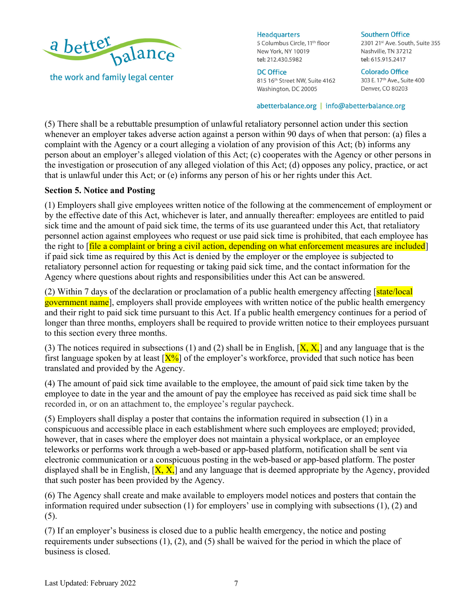

**Headquarters** 

5 Columbus Circle, 11<sup>th</sup> floor New York, NY 10019 tel: 212.430.5982

# **DC Office**

815 16th Street NW, Suite 4162 Washington, DC 20005

**Southern Office** 

2301 21st Ave. South, Suite 355 Nashville, TN 37212 tel: 615.915.2417

**Colorado Office** 303 E. 17<sup>th</sup> Ave., Suite 400 Denver, CO 80203

#### abetterbalance.org | info@abetterbalance.org

(5) There shall be a rebuttable presumption of unlawful retaliatory personnel action under this section whenever an employer takes adverse action against a person within 90 days of when that person: (a) files a complaint with the Agency or a court alleging a violation of any provision of this Act; (b) informs any person about an employer's alleged violation of this Act; (c) cooperates with the Agency or other persons in the investigation or prosecution of any alleged violation of this Act; (d) opposes any policy, practice, or act that is unlawful under this Act; or (e) informs any person of his or her rights under this Act.

### **Section 5. Notice and Posting**

(1) Employers shall give employees written notice of the following at the commencement of employment or by the effective date of this Act, whichever is later, and annually thereafter: employees are entitled to paid sick time and the amount of paid sick time, the terms of its use guaranteed under this Act, that retaliatory personnel action against employees who request or use paid sick time is prohibited, that each employee has the right to [file a complaint or bring a civil action, depending on what enforcement measures are included] if paid sick time as required by this Act is denied by the employer or the employee is subjected to retaliatory personnel action for requesting or taking paid sick time, and the contact information for the Agency where questions about rights and responsibilities under this Act can be answered.

(2) Within 7 days of the declaration or proclamation of a public health emergency affecting  $\lceil \frac{\text{state/local}}{\text{state/local}} \rceil$ government name], employers shall provide employees with written notice of the public health emergency and their right to paid sick time pursuant to this Act. If a public health emergency continues for a period of longer than three months, employers shall be required to provide written notice to their employees pursuant to this section every three months.

(3) The notices required in subsections (1) and (2) shall be in English,  $[X, X]$  and any language that is the first language spoken by at least  $[X\%]$  of the employer's workforce, provided that such notice has been translated and provided by the Agency.

(4) The amount of paid sick time available to the employee, the amount of paid sick time taken by the employee to date in the year and the amount of pay the employee has received as paid sick time shall be recorded in, or on an attachment to, the employee's regular paycheck.

(5) Employers shall display a poster that contains the information required in subsection (1) in a conspicuous and accessible place in each establishment where such employees are employed; provided, however, that in cases where the employer does not maintain a physical workplace, or an employee teleworks or performs work through a web-based or app-based platform, notification shall be sent via electronic communication or a conspicuous posting in the web-based or app-based platform. The poster displayed shall be in English,  $[X, X]$  and any language that is deemed appropriate by the Agency, provided that such poster has been provided by the Agency.

(6) The Agency shall create and make available to employers model notices and posters that contain the information required under subsection (1) for employers' use in complying with subsections (1), (2) and (5).

(7) If an employer's business is closed due to a public health emergency, the notice and posting requirements under subsections (1), (2), and (5) shall be waived for the period in which the place of business is closed.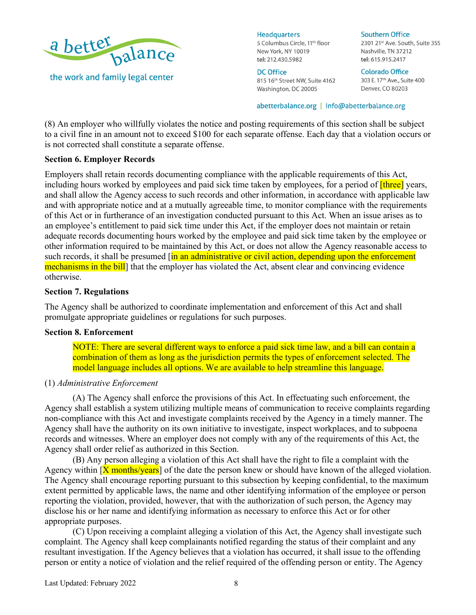

**Headquarters** 

5 Columbus Circle, 11<sup>th</sup> floor New York, NY 10019 tel: 212.430.5982

**DC Office** 815 16th Street NW, Suite 4162 Washington, DC 20005

**Southern Office** 2301 21st Ave. South, Suite 355 Nashville, TN 37212 tel: 615.915.2417

**Colorado Office** 303 E. 17<sup>th</sup> Ave., Suite 400 Denver, CO 80203

abetterbalance.org | info@abetterbalance.org

(8) An employer who willfully violates the notice and posting requirements of this section shall be subject to a civil fine in an amount not to exceed \$100 for each separate offense. Each day that a violation occurs or is not corrected shall constitute a separate offense.

# **Section 6. Employer Records**

Employers shall retain records documenting compliance with the applicable requirements of this Act, including hours worked by employees and paid sick time taken by employees, for a period of *[three]* years, and shall allow the Agency access to such records and other information, in accordance with applicable law and with appropriate notice and at a mutually agreeable time, to monitor compliance with the requirements of this Act or in furtherance of an investigation conducted pursuant to this Act. When an issue arises as to an employee's entitlement to paid sick time under this Act, if the employer does not maintain or retain adequate records documenting hours worked by the employee and paid sick time taken by the employee or other information required to be maintained by this Act, or does not allow the Agency reasonable access to such records, it shall be presumed [in an administrative or civil action, depending upon the enforcement mechanisms in the bill that the employer has violated the Act, absent clear and convincing evidence otherwise.

# **Section 7. Regulations**

The Agency shall be authorized to coordinate implementation and enforcement of this Act and shall promulgate appropriate guidelines or regulations for such purposes.

# **Section 8. Enforcement**

NOTE: There are several different ways to enforce a paid sick time law, and a bill can contain a combination of them as long as the jurisdiction permits the types of enforcement selected. The model language includes all options. We are available to help streamline this language.

# (1) *Administrative Enforcement*

(A) The Agency shall enforce the provisions of this Act. In effectuating such enforcement, the Agency shall establish a system utilizing multiple means of communication to receive complaints regarding non-compliance with this Act and investigate complaints received by the Agency in a timely manner. The Agency shall have the authority on its own initiative to investigate, inspect workplaces, and to subpoena records and witnesses. Where an employer does not comply with any of the requirements of this Act, the Agency shall order relief as authorized in this Section.

(B) Any person alleging a violation of this Act shall have the right to file a complaint with the Agency within  $[X \text{ months/years}]$  of the date the person knew or should have known of the alleged violation. The Agency shall encourage reporting pursuant to this subsection by keeping confidential, to the maximum extent permitted by applicable laws, the name and other identifying information of the employee or person reporting the violation, provided, however, that with the authorization of such person, the Agency may disclose his or her name and identifying information as necessary to enforce this Act or for other appropriate purposes.

(C) Upon receiving a complaint alleging a violation of this Act, the Agency shall investigate such complaint. The Agency shall keep complainants notified regarding the status of their complaint and any resultant investigation. If the Agency believes that a violation has occurred, it shall issue to the offending person or entity a notice of violation and the relief required of the offending person or entity. The Agency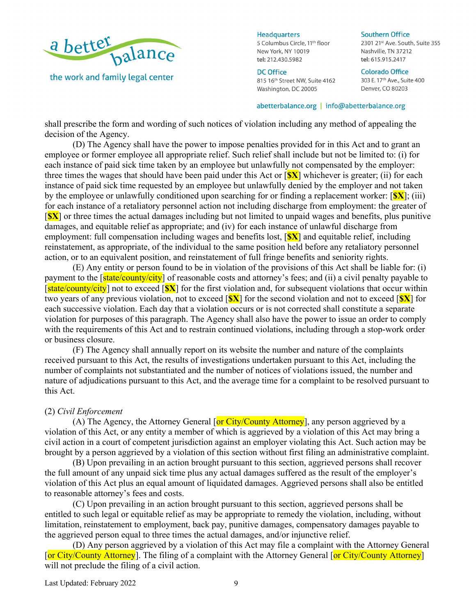

**Headquarters** 

5 Columbus Circle, 11<sup>th</sup> floor New York, NY 10019 tel: 212.430.5982

# **DC Office**

815 16th Street NW, Suite 4162 Washington, DC 20005

**Southern Office** 

2301 21st Ave. South, Suite 355 Nashville, TN 37212 tel: 615.915.2417

**Colorado Office** 303 E. 17th Ave., Suite 400 Denver, CO 80203

#### abetterbalance.org | info@abetterbalance.org

shall prescribe the form and wording of such notices of violation including any method of appealing the decision of the Agency.

(D) The Agency shall have the power to impose penalties provided for in this Act and to grant an employee or former employee all appropriate relief. Such relief shall include but not be limited to: (i) for each instance of paid sick time taken by an employee but unlawfully not compensated by the employer: three times the wages that should have been paid under this Act or [**\$X**] whichever is greater; (ii) for each instance of paid sick time requested by an employee but unlawfully denied by the employer and not taken by the employee or unlawfully conditioned upon searching for or finding a replacement worker: [**\$X**]; (iii) for each instance of a retaliatory personnel action not including discharge from employment: the greater of [**\$X**] or three times the actual damages including but not limited to unpaid wages and benefits, plus punitive damages, and equitable relief as appropriate; and (iv) for each instance of unlawful discharge from employment: full compensation including wages and benefits lost, [**\$X**] and equitable relief, including reinstatement, as appropriate, of the individual to the same position held before any retaliatory personnel action, or to an equivalent position, and reinstatement of full fringe benefits and seniority rights.

(E) Any entity or person found to be in violation of the provisions of this Act shall be liable for: (i) payment to the [state/county/city] of reasonable costs and attorney's fees; and (ii) a civil penalty payable to [state/county/city] not to exceed [**\$X**] for the first violation and, for subsequent violations that occur within two years of any previous violation, not to exceed [**\$X**] for the second violation and not to exceed [**\$X**] for each successive violation. Each day that a violation occurs or is not corrected shall constitute a separate violation for purposes of this paragraph. The Agency shall also have the power to issue an order to comply with the requirements of this Act and to restrain continued violations, including through a stop-work order or business closure.

(F) The Agency shall annually report on its website the number and nature of the complaints received pursuant to this Act, the results of investigations undertaken pursuant to this Act, including the number of complaints not substantiated and the number of notices of violations issued, the number and nature of adjudications pursuant to this Act, and the average time for a complaint to be resolved pursuant to this Act.

#### (2) *Civil Enforcement*

(A) The Agency, the Attorney General [or City/County Attorney], any person aggrieved by a violation of this Act, or any entity a member of which is aggrieved by a violation of this Act may bring a civil action in a court of competent jurisdiction against an employer violating this Act. Such action may be brought by a person aggrieved by a violation of this section without first filing an administrative complaint.

(B) Upon prevailing in an action brought pursuant to this section, aggrieved persons shall recover the full amount of any unpaid sick time plus any actual damages suffered as the result of the employer's violation of this Act plus an equal amount of liquidated damages. Aggrieved persons shall also be entitled to reasonable attorney's fees and costs.

(C) Upon prevailing in an action brought pursuant to this section, aggrieved persons shall be entitled to such legal or equitable relief as may be appropriate to remedy the violation, including, without limitation, reinstatement to employment, back pay, punitive damages, compensatory damages payable to the aggrieved person equal to three times the actual damages, and/or injunctive relief.

(D) Any person aggrieved by a violation of this Act may file a complaint with the Attorney General [or City/County Attorney]. The filing of a complaint with the Attorney General [or City/County Attorney] will not preclude the filing of a civil action.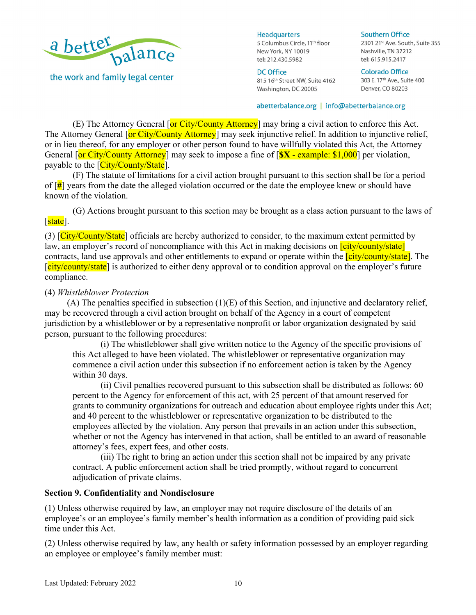

**Headquarters** 

5 Columbus Circle, 11<sup>th</sup> floor New York, NY 10019 tel: 212.430.5982

# **DC Office**

815 16th Street NW, Suite 4162 Washington, DC 20005

**Colorado Office** 303 E. 17<sup>th</sup> Ave., Suite 400 Denver, CO 80203

2301 21st Ave. South, Suite 355

**Southern Office** 

Nashville, TN 37212 tel: 615.915.2417

abetterbalance.org | info@abetterbalance.org

(E) The Attorney General [or City/County Attorney] may bring a civil action to enforce this Act. The Attorney General [or City/County Attorney] may seek injunctive relief. In addition to injunctive relief, or in lieu thereof, for any employer or other person found to have willfully violated this Act, the Attorney General [or City/County Attorney] may seek to impose a fine of [**\$X** - example: \$1,000] per violation, payable to the [City/County/State].

(F) The statute of limitations for a civil action brought pursuant to this section shall be for a period of [**#**] years from the date the alleged violation occurred or the date the employee knew or should have known of the violation.

(G) Actions brought pursuant to this section may be brought as a class action pursuant to the laws of [state].

(3)  $\left[City/Country/State\right]$  officials are hereby authorized to consider, to the maximum extent permitted by law, an employer's record of noncompliance with this Act in making decisions on *city/county/state* contracts, land use approvals and other entitlements to expand or operate within the *city/county/state*. The [city/county/state] is authorized to either deny approval or to condition approval on the employer's future compliance.

### (4) *Whistleblower Protection*

 $(A)$  The penalties specified in subsection  $(1)(E)$  of this Section, and injunctive and declaratory relief, may be recovered through a civil action brought on behalf of the Agency in a court of competent jurisdiction by a whistleblower or by a representative nonprofit or labor organization designated by said person, pursuant to the following procedures:

(i) The whistleblower shall give written notice to the Agency of the specific provisions of this Act alleged to have been violated. The whistleblower or representative organization may commence a civil action under this subsection if no enforcement action is taken by the Agency within 30 days.

(ii) Civil penalties recovered pursuant to this subsection shall be distributed as follows: 60 percent to the Agency for enforcement of this act, with 25 percent of that amount reserved for grants to community organizations for outreach and education about employee rights under this Act; and 40 percent to the whistleblower or representative organization to be distributed to the employees affected by the violation. Any person that prevails in an action under this subsection, whether or not the Agency has intervened in that action, shall be entitled to an award of reasonable attorney's fees, expert fees, and other costs.

(iii) The right to bring an action under this section shall not be impaired by any private contract. A public enforcement action shall be tried promptly, without regard to concurrent adjudication of private claims.

### **Section 9. Confidentiality and Nondisclosure**

(1) Unless otherwise required by law, an employer may not require disclosure of the details of an employee's or an employee's family member's health information as a condition of providing paid sick time under this Act.

(2) Unless otherwise required by law, any health or safety information possessed by an employer regarding an employee or employee's family member must: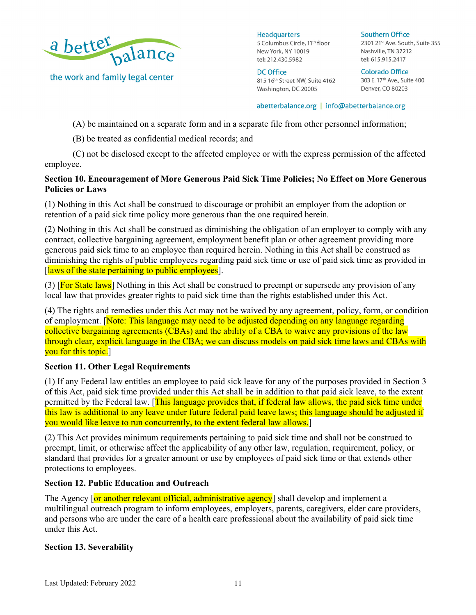

**Headquarters** 5 Columbus Circle, 11<sup>th</sup> floor New York, NY 10019 tel: 212.430.5982

**DC Office** 815 16th Street NW, Suite 4162 Washington, DC 20005

**Southern Office** 2301 21st Ave. South, Suite 355 Nashville, TN 37212 tel: 615.915.2417

**Colorado Office** 303 E. 17<sup>th</sup> Ave., Suite 400 Denver, CO 80203

#### abetterbalance.org | info@abetterbalance.org

(A) be maintained on a separate form and in a separate file from other personnel information;

(B) be treated as confidential medical records; and

(C) not be disclosed except to the affected employee or with the express permission of the affected employee.

## **Section 10. Encouragement of More Generous Paid Sick Time Policies; No Effect on More Generous Policies or Laws**

(1) Nothing in this Act shall be construed to discourage or prohibit an employer from the adoption or retention of a paid sick time policy more generous than the one required herein.

(2) Nothing in this Act shall be construed as diminishing the obligation of an employer to comply with any contract, collective bargaining agreement, employment benefit plan or other agreement providing more generous paid sick time to an employee than required herein. Nothing in this Act shall be construed as diminishing the rights of public employees regarding paid sick time or use of paid sick time as provided in [laws of the state pertaining to public employees].

(3) [For State laws] Nothing in this Act shall be construed to preempt or supersede any provision of any local law that provides greater rights to paid sick time than the rights established under this Act.

(4) The rights and remedies under this Act may not be waived by any agreement, policy, form, or condition of employment. [Note: This language may need to be adjusted depending on any language regarding collective bargaining agreements (CBAs) and the ability of a CBA to waive any provisions of the law through clear, explicit language in the CBA; we can discuss models on paid sick time laws and CBAs with you for this topic.

### **Section 11. Other Legal Requirements**

(1) If any Federal law entitles an employee to paid sick leave for any of the purposes provided in Section 3 of this Act, paid sick time provided under this Act shall be in addition to that paid sick leave, to the extent permitted by the Federal law. [This language provides that, if federal law allows, the paid sick time under this law is additional to any leave under future federal paid leave laws; this language should be adjusted if you would like leave to run concurrently, to the extent federal law allows.

(2) This Act provides minimum requirements pertaining to paid sick time and shall not be construed to preempt, limit, or otherwise affect the applicability of any other law, regulation, requirement, policy, or standard that provides for a greater amount or use by employees of paid sick time or that extends other protections to employees.

### **Section 12. Public Education and Outreach**

The Agency **[or another relevant official, administrative agency**] shall develop and implement a multilingual outreach program to inform employees, employers, parents, caregivers, elder care providers, and persons who are under the care of a health care professional about the availability of paid sick time under this Act.

### **Section 13. Severability**